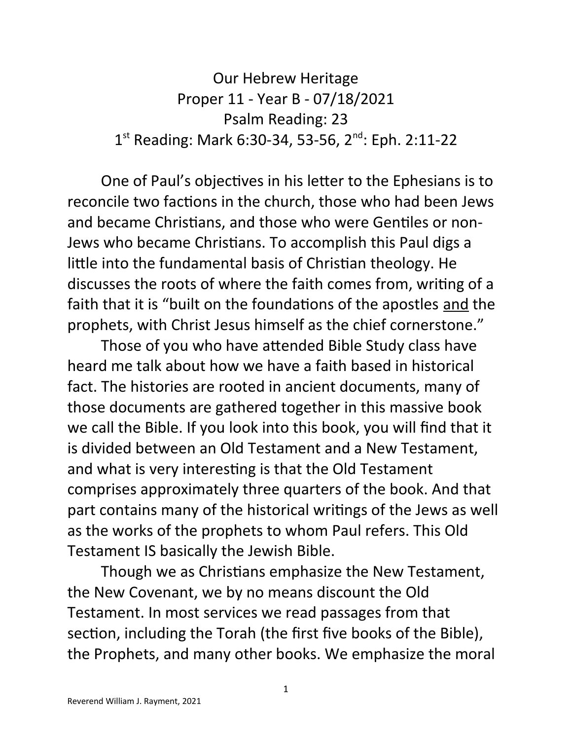Our Hebrew Heritage Proper 11 - Year B - 07/18/2021 Psalm Reading: 23 1<sup>st</sup> Reading: Mark 6:30-34, 53-56, 2<sup>nd</sup>: Eph. 2:11-22

One of Paul's objectives in his letter to the Ephesians is to reconcile two factions in the church, those who had been Jews and became Christians, and those who were Gentiles or non-Jews who became Christians. To accomplish this Paul digs a little into the fundamental basis of Christian theology. He discusses the roots of where the faith comes from, writing of a faith that it is "built on the foundations of the apostles and the prophets, with Christ Jesus himself as the chief cornerstone."

Those of you who have attended Bible Study class have heard me talk about how we have a faith based in historical fact. The histories are rooted in ancient documents, many of those documents are gathered together in this massive book we call the Bible. If you look into this book, you will find that it is divided between an Old Testament and a New Testament, and what is very interesting is that the Old Testament comprises approximately three quarters of the book. And that part contains many of the historical writings of the Jews as well as the works of the prophets to whom Paul refers. This Old Testament IS basically the Jewish Bible.

Though we as Christians emphasize the New Testament, the New Covenant, we by no means discount the Old Testament. In most services we read passages from that section, including the Torah (the first five books of the Bible), the Prophets, and many other books. We emphasize the moral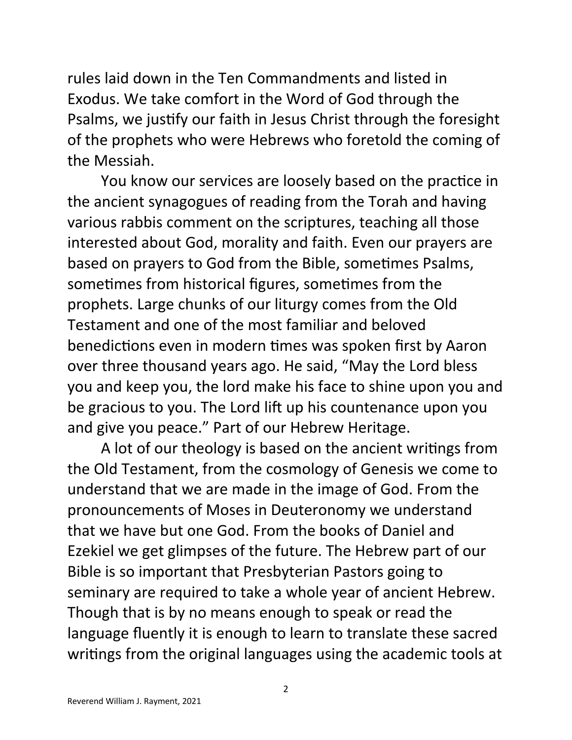rules laid down in the Ten Commandments and listed in Exodus. We take comfort in the Word of God through the Psalms, we justify our faith in Jesus Christ through the foresight of the prophets who were Hebrews who foretold the coming of the Messiah.

You know our services are loosely based on the practice in the ancient synagogues of reading from the Torah and having various rabbis comment on the scriptures, teaching all those interested about God, morality and faith. Even our prayers are based on prayers to God from the Bible, sometimes Psalms, sometimes from historical figures, sometimes from the prophets. Large chunks of our liturgy comes from the Old Testament and one of the most familiar and beloved benedictions even in modern times was spoken first by Aaron over three thousand years ago. He said, "May the Lord bless you and keep you, the lord make his face to shine upon you and be gracious to you. The Lord lift up his countenance upon you and give you peace." Part of our Hebrew Heritage.

A lot of our theology is based on the ancient writings from the Old Testament, from the cosmology of Genesis we come to understand that we are made in the image of God. From the pronouncements of Moses in Deuteronomy we understand that we have but one God. From the books of Daniel and Ezekiel we get glimpses of the future. The Hebrew part of our Bible is so important that Presbyterian Pastors going to seminary are required to take a whole year of ancient Hebrew. Though that is by no means enough to speak or read the language fluently it is enough to learn to translate these sacred writings from the original languages using the academic tools at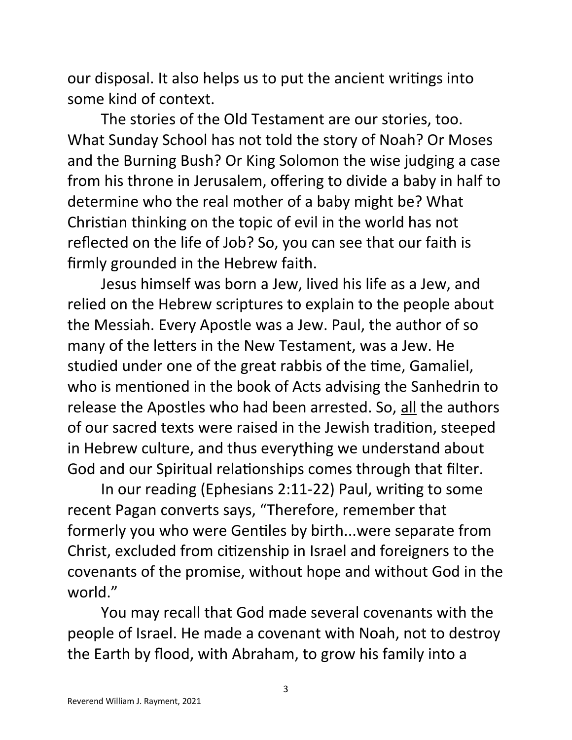our disposal. It also helps us to put the ancient writings into some kind of context.

The stories of the Old Testament are our stories, too. What Sunday School has not told the story of Noah? Or Moses and the Burning Bush? Or King Solomon the wise judging a case from his throne in Jerusalem, offering to divide a baby in half to determine who the real mother of a baby might be? What Christian thinking on the topic of evil in the world has not reflected on the life of Job? So, you can see that our faith is firmly grounded in the Hebrew faith.

Jesus himself was born a Jew, lived his life as a Jew, and relied on the Hebrew scriptures to explain to the people about the Messiah. Every Apostle was a Jew. Paul, the author of so many of the letters in the New Testament, was a Jew. He studied under one of the great rabbis of the time, Gamaliel, who is mentioned in the book of Acts advising the Sanhedrin to release the Apostles who had been arrested. So, all the authors of our sacred texts were raised in the Jewish tradition, steeped in Hebrew culture, and thus everything we understand about God and our Spiritual relationships comes through that filter.

In our reading (Ephesians 2:11-22) Paul, writing to some recent Pagan converts says, "Therefore, remember that formerly you who were Gentiles by birth...were separate from Christ, excluded from citizenship in Israel and foreigners to the covenants of the promise, without hope and without God in the world."

You may recall that God made several covenants with the people of Israel. He made a covenant with Noah, not to destroy the Earth by flood, with Abraham, to grow his family into a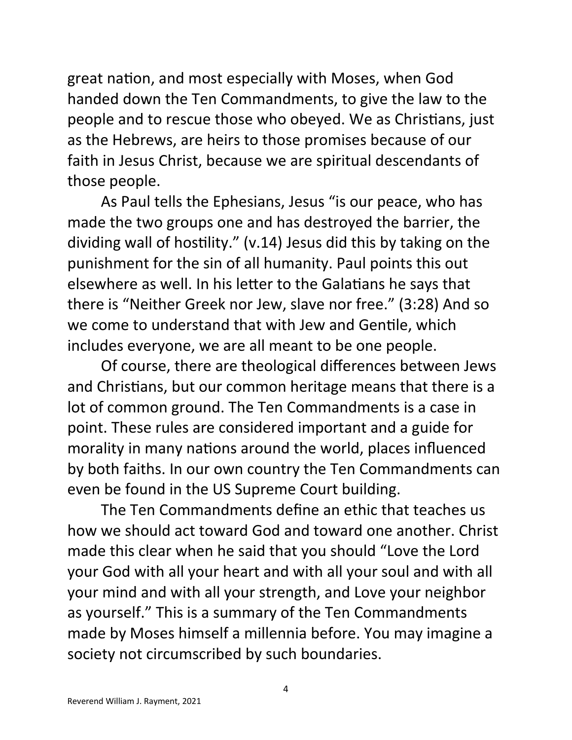great nation, and most especially with Moses, when God handed down the Ten Commandments, to give the law to the people and to rescue those who obeyed. We as Christians, just as the Hebrews, are heirs to those promises because of our faith in Jesus Christ, because we are spiritual descendants of those people.

As Paul tells the Ephesians, Jesus "is our peace, who has made the two groups one and has destroyed the barrier, the dividing wall of hostility." (v.14) Jesus did this by taking on the punishment for the sin of all humanity. Paul points this out elsewhere as well. In his letter to the Galatians he says that there is "Neither Greek nor Jew, slave nor free." (3:28) And so we come to understand that with Jew and Gentile, which includes everyone, we are all meant to be one people.

Of course, there are theological differences between Jews and Christians, but our common heritage means that there is a lot of common ground. The Ten Commandments is a case in point. These rules are considered important and a guide for morality in many nations around the world, places influenced by both faiths. In our own country the Ten Commandments can even be found in the US Supreme Court building.

The Ten Commandments define an ethic that teaches us how we should act toward God and toward one another. Christ made this clear when he said that you should "Love the Lord your God with all your heart and with all your soul and with all your mind and with all your strength, and Love your neighbor as yourself." This is a summary of the Ten Commandments made by Moses himself a millennia before. You may imagine a society not circumscribed by such boundaries.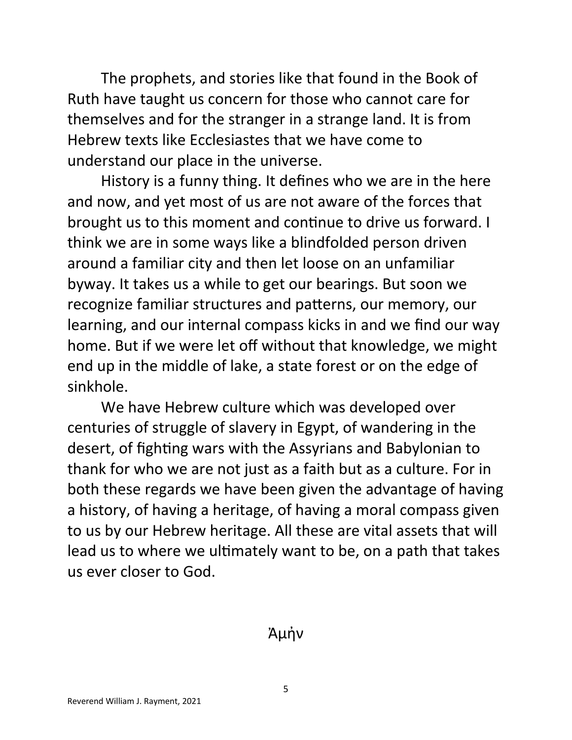The prophets, and stories like that found in the Book of Ruth have taught us concern for those who cannot care for themselves and for the stranger in a strange land. It is from Hebrew texts like Ecclesiastes that we have come to understand our place in the universe.

History is a funny thing. It defines who we are in the here and now, and yet most of us are not aware of the forces that brought us to this moment and continue to drive us forward. I think we are in some ways like a blindfolded person driven around a familiar city and then let loose on an unfamiliar byway. It takes us a while to get our bearings. But soon we recognize familiar structures and patterns, our memory, our learning, and our internal compass kicks in and we find our way home. But if we were let off without that knowledge, we might end up in the middle of lake, a state forest or on the edge of sinkhole.

We have Hebrew culture which was developed over centuries of struggle of slavery in Egypt, of wandering in the desert, of fighting wars with the Assyrians and Babylonian to thank for who we are not just as a faith but as a culture. For in both these regards we have been given the advantage of having a history, of having a heritage, of having a moral compass given to us by our Hebrew heritage. All these are vital assets that will lead us to where we ultimately want to be, on a path that takes us ever closer to God.